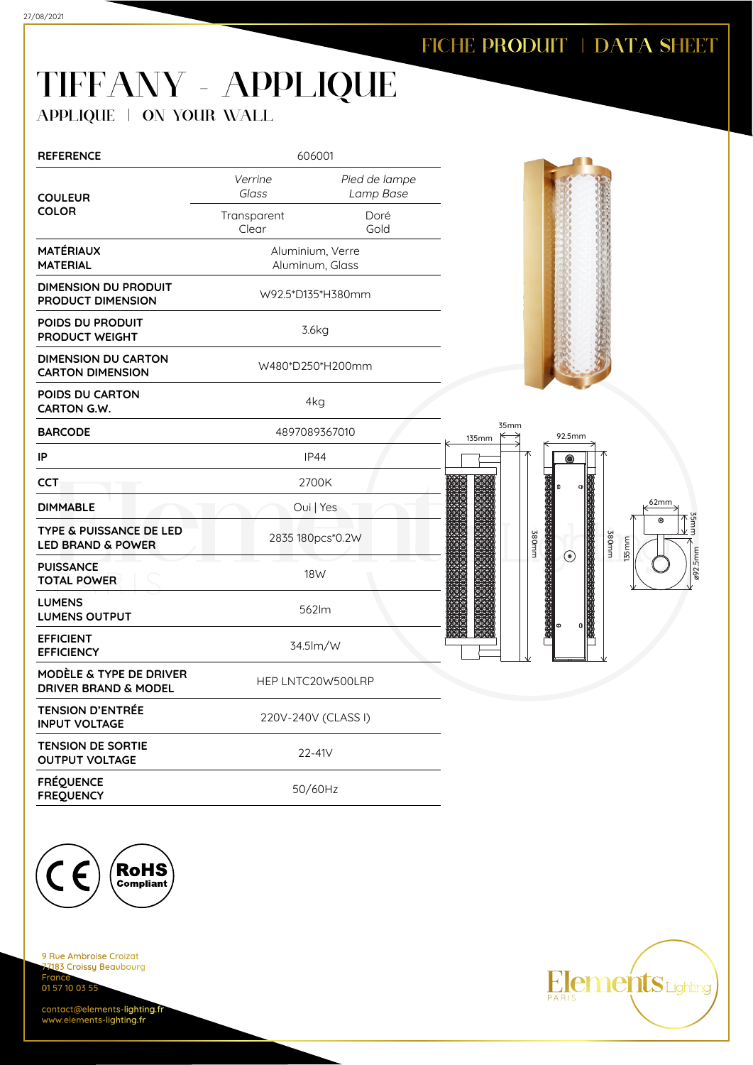## TIFFANY - APPLIQUE

APPLIQUE | ON YOUR WALL

| <b>REFERENCE</b>                                                   |                      | 606001                              |               |                                                                    |
|--------------------------------------------------------------------|----------------------|-------------------------------------|---------------|--------------------------------------------------------------------|
| <b>COULEUR</b>                                                     | Verrine<br>Glass     | Pied de lampe<br>Lamp Base          |               |                                                                    |
| <b>COLOR</b>                                                       | Transparent<br>Clear | Doré<br>Gold                        |               |                                                                    |
| <b>MATÉRIAUX</b><br><b>MATERIAL</b>                                |                      | Aluminium, Verre<br>Aluminum, Glass |               |                                                                    |
| <b>DIMENSION DU PRODUIT</b><br>PRODUCT DIMENSION                   | W92.5*D135*H380mm    |                                     |               |                                                                    |
| POIDS DU PRODUIT<br>PRODUCT WEIGHT                                 | 3.6kg                |                                     |               |                                                                    |
| <b>DIMENSION DU CARTON</b><br><b>CARTON DIMENSION</b>              | W480*D250*H200mm     |                                     |               |                                                                    |
| POIDS DU CARTON<br>CARTON G.W.                                     | 4kg                  |                                     |               |                                                                    |
| <b>BARCODE</b>                                                     | 4897089367010        |                                     | 35mm<br>135mm | 92.5mm                                                             |
| IP                                                                 | <b>IP44</b>          |                                     |               | ◉                                                                  |
| <b>CCT</b>                                                         |                      | 2700K                               |               |                                                                    |
| <b>DIMMABLE</b>                                                    |                      | Oui   Yes                           |               | 62mm                                                               |
| <b>TYPE &amp; PUISSANCE DE LED</b><br><b>LED BRAND &amp; POWER</b> | 2835 180pcs*0.2W     |                                     | <b>380mm</b>  | 35mm<br>$\odot$<br>大阪の大阪の大阪の大阪の大阪の大阪の<br>mm082<br>135mm<br>$\odot$ |
| <b>PUISSANCE</b><br><b>TOTAL POWER</b>                             |                      | 18 <sub>W</sub>                     |               | 292.5mm                                                            |
| <b>LUMENS</b><br><b>LUMENS OUTPUT</b>                              |                      | 562lm                               |               |                                                                    |
| <b>EFFICIENT</b><br><b>EFFICIENCY</b>                              |                      | 34.5lm/W                            |               |                                                                    |
| MODÈLE & TYPE DE DRIVER<br><b>DRIVER BRAND &amp; MODEL</b>         |                      | HEP LNTC20W500LRP                   |               |                                                                    |
| <b>TENSION D'ENTRÉE</b><br><b>INPUT VOLTAGE</b>                    | 220V-240V (CLASS I)  |                                     |               |                                                                    |
| <b>TENSION DE SORTIE</b><br><b>OUTPUT VOLTAGE</b>                  |                      | 22-41V                              |               |                                                                    |
| <b>FRÉQUENCE</b><br><b>FREQUENCY</b>                               |                      | 50/60Hz                             |               |                                                                    |



9 Rue Ambroise Croizat nes<br><mark>7183 Croissy Beaubourg</mark> Fran 01 57 10 03 55

contact@elements-lighting.fr www.elements-lighting.fr

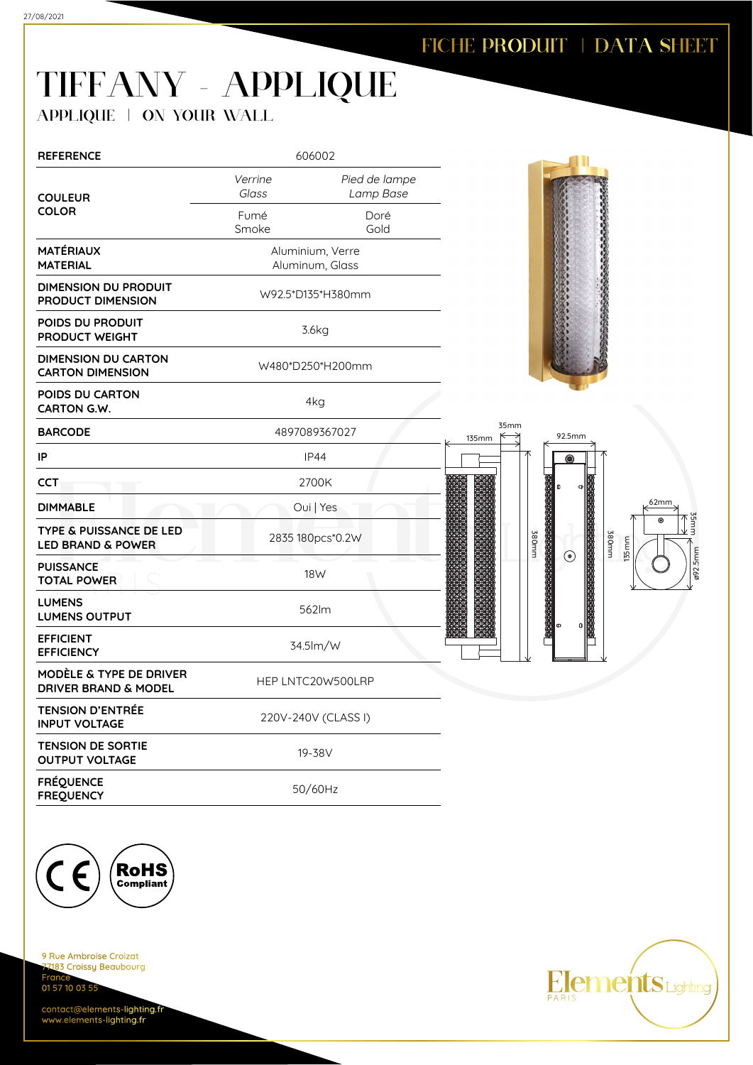## TIFFANY - APPLIQUE

APPLIQUE | ON YOUR WALL

| <b>REFERENCE</b>                                                   | 606002                              |                            |  |                                                               |  |  |
|--------------------------------------------------------------------|-------------------------------------|----------------------------|--|---------------------------------------------------------------|--|--|
| <b>COULEUR</b>                                                     | Verrine<br>Glass                    | Pied de lampe<br>Lamp Base |  |                                                               |  |  |
| <b>COLOR</b>                                                       | Fumé<br>Smoke                       | Doré<br>Gold               |  |                                                               |  |  |
| <b>MATÉRIAUX</b><br><b>MATERIAL</b>                                | Aluminium, Verre<br>Aluminum, Glass |                            |  |                                                               |  |  |
| <b>DIMENSION DU PRODUIT</b><br>PRODUCT DIMENSION                   | W92.5*D135*H380mm                   |                            |  |                                                               |  |  |
| POIDS DU PRODUIT<br>PRODUCT WEIGHT                                 | 3.6kg                               |                            |  |                                                               |  |  |
| <b>DIMENSION DU CARTON</b><br><b>CARTON DIMENSION</b>              | W480*D250*H200mm                    |                            |  |                                                               |  |  |
| POIDS DU CARTON<br>CARTON G.W.                                     | 4kg                                 |                            |  |                                                               |  |  |
| <b>BARCODE</b>                                                     |                                     | 4897089367027              |  | 92.5mm                                                        |  |  |
| IP                                                                 | <b>IP44</b>                         |                            |  | ◉                                                             |  |  |
| <b>CCT</b>                                                         |                                     | 2700K                      |  |                                                               |  |  |
| <b>DIMMABLE</b>                                                    |                                     | Oui   Yes                  |  | 62mm                                                          |  |  |
| <b>TYPE &amp; PUISSANCE DE LED</b><br><b>LED BRAND &amp; POWER</b> | 2835 180pcs*0.2W                    |                            |  | 35 mm<br>$\circledcirc$<br>380mm<br>380mm<br>135mm<br>$\odot$ |  |  |
| <b>PUISSANCE</b><br><b>TOTAL POWER</b>                             | 18W                                 |                            |  | ø92.5mm                                                       |  |  |
| <b>LUMENS</b><br><b>LUMENS OUTPUT</b>                              |                                     | 562lm                      |  |                                                               |  |  |
| <b>EFFICIENT</b><br><b>EFFICIENCY</b>                              |                                     | 34.5lm/W                   |  |                                                               |  |  |
| MODÈLE & TYPE DE DRIVER<br><b>DRIVER BRAND &amp; MODEL</b>         |                                     | HEP LNTC20W500LRP          |  |                                                               |  |  |
| <b>TENSION D'ENTRÉE</b><br><b>INPUT VOLTAGE</b>                    |                                     | 220V-240V (CLASS I)        |  |                                                               |  |  |
| <b>TENSION DE SORTIE</b><br><b>OUTPUT VOLTAGE</b>                  |                                     | 19-38V                     |  |                                                               |  |  |
| <b>FRÉQUENCE</b><br><b>FREQUENCY</b>                               |                                     | 50/60Hz                    |  |                                                               |  |  |



9 Rue Ambroise Croizat nes<br><mark>7183 Croissy Beaubourg</mark> Fran 01 57 10 03 55

contact@elements-lighting.fr www.elements-lighting.fr